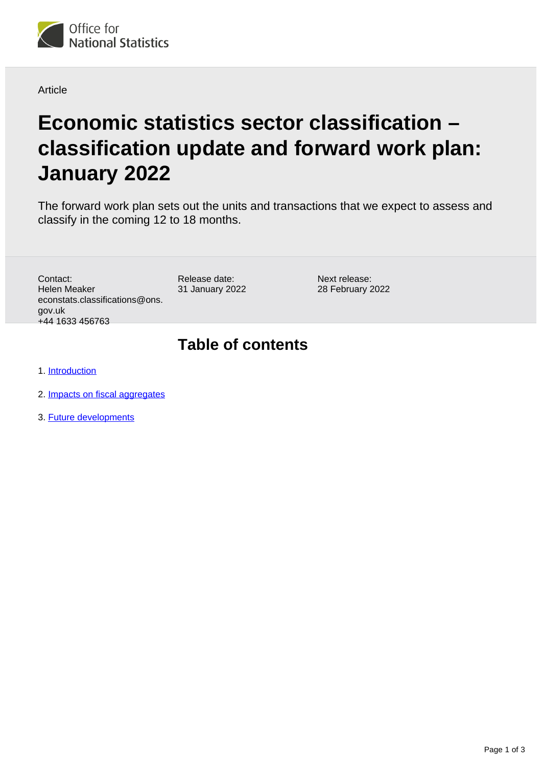

#### Article

# **Economic statistics sector classification – classification update and forward work plan: January 2022**

The forward work plan sets out the units and transactions that we expect to assess and classify in the coming 12 to 18 months.

Contact: Helen Meaker econstats.classifications@ons. gov.uk +44 1633 456763

Release date: 31 January 2022 Next release: 28 February 2022

### **Table of contents**

- 1. [Introduction](#page-1-0)
- 2. [Impacts on fiscal aggregates](#page-1-1)
- 3. [Future developments](#page-2-0)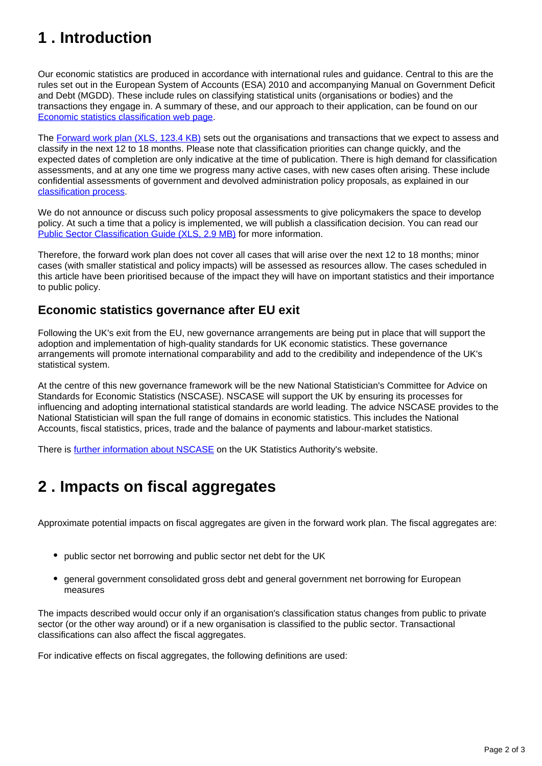## <span id="page-1-0"></span>**1 . Introduction**

Our economic statistics are produced in accordance with international rules and guidance. Central to this are the rules set out in the European System of Accounts (ESA) 2010 and accompanying Manual on Government Deficit and Debt (MGDD). These include rules on classifying statistical units (organisations or bodies) and the transactions they engage in. A summary of these, and our approach to their application, can be found on our [Economic statistics classification web page](https://www.ons.gov.uk/methodology/classificationsandstandards/economicstatisticsclassifications).

The [Forward work plan \(XLS, 123.4 KB\)](https://www.ons.gov.uk/file?uri=/methodology/classificationsandstandards/economicstatisticsclassifications/introductiontoeconomicstatisticsclassifications/jan2022fwp.xls) sets out the organisations and transactions that we expect to assess and classify in the next 12 to 18 months. Please note that classification priorities can change quickly, and the expected dates of completion are only indicative at the time of publication. There is high demand for classification assessments, and at any one time we progress many active cases, with new cases often arising. These include confidential assessments of government and devolved administration policy proposals, as explained in our [classification process](https://www.ons.gov.uk/methodology/classificationsandstandards/economicstatisticsclassifications/ukeconomicstatisticssectorandtransactionclassificationstheclassificationprocess).

We do not announce or discuss such policy proposal assessments to give policymakers the space to develop policy. At such a time that a policy is implemented, we will publish a classification decision. You can read our [Public Sector Classification Guide \(XLS, 2.9 MB\)](https://www.ons.gov.uk/file?uri=/methodology/classificationsandstandards/economicstatisticsclassifications/introductiontoeconomicstatisticsclassifications/pscgjan22.xls) for more information.

Therefore, the forward work plan does not cover all cases that will arise over the next 12 to 18 months; minor cases (with smaller statistical and policy impacts) will be assessed as resources allow. The cases scheduled in this article have been prioritised because of the impact they will have on important statistics and their importance to public policy.

#### **Economic statistics governance after EU exit**

Following the UK's exit from the EU, new governance arrangements are being put in place that will support the adoption and implementation of high-quality standards for UK economic statistics. These governance arrangements will promote international comparability and add to the credibility and independence of the UK's statistical system.

At the centre of this new governance framework will be the new National Statistician's Committee for Advice on Standards for Economic Statistics (NSCASE). NSCASE will support the UK by ensuring its processes for influencing and adopting international statistical standards are world leading. The advice NSCASE provides to the National Statistician will span the full range of domains in economic statistics. This includes the National Accounts, fiscal statistics, prices, trade and the balance of payments and labour-market statistics.

There is [further information about NSCASE](https://uksa.statisticsauthority.gov.uk/the-authority-board/committees/national-statisticians-advisory-committees-and-panels/national-statisticians-committee-for-advice-on-standards-for-economic-statistics-nscase/) on the UK Statistics Authority's website.

### <span id="page-1-1"></span>**2 . Impacts on fiscal aggregates**

Approximate potential impacts on fiscal aggregates are given in the forward work plan. The fiscal aggregates are:

- public sector net borrowing and public sector net debt for the UK
- general government consolidated gross debt and general government net borrowing for European measures

The impacts described would occur only if an organisation's classification status changes from public to private sector (or the other way around) or if a new organisation is classified to the public sector. Transactional classifications can also affect the fiscal aggregates.

For indicative effects on fiscal aggregates, the following definitions are used: